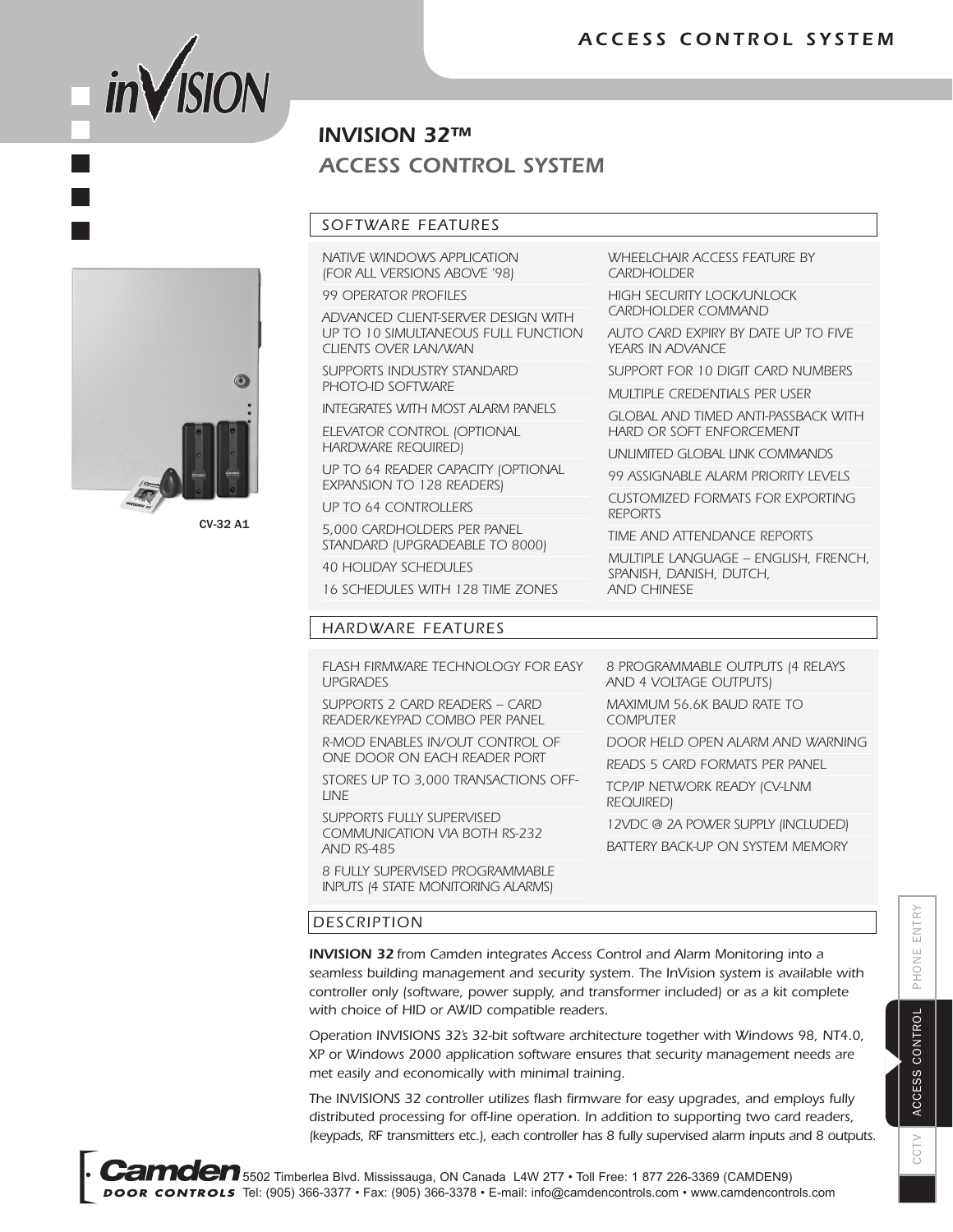

# $\odot$

CV-32 A1

# *ACCESS CONTROL SYSTEM INVISION 32™*

### *SOFTWARE FEATURES*

*NATIVE WINDOWS APPLICATION (FOR ALL VERSIONS ABOVE '98)*

*99 OPERATOR PROFILES*

*ADVANCED CLIENT-SERVER DESIGN WITH UP TO 10 SIMULTANEOUS FULL FUNCTION CLIENTS OVER LAN/WAN*

*SUPPORTS INDUSTRY STANDARD PHOTO-ID SOFTWARE*

*INTEGRATES WITH MOST ALARM PANELS*

*ELEVATOR CONTROL (OPTIONAL HARDWARE REQUIRED)*

*UP TO 64 READER CAPACITY (OPTIONAL EXPANSION TO 128 READERS)*

*UP TO 64 CONTROLLERS*

*5,000 CARDHOLDERS PER PANEL STANDARD (UPGRADEABLE TO 8000)*

*40 HOLIDAY SCHEDULES*

*16 SCHEDULES WITH 128 TIME ZONES*

### *HARDWARE FEATURES*

*FLASH FIRMWARE TECHNOLOGY FOR EASY UPGRADES*

*SUPPORTS 2 CARD READERS – CARD READER/KEYPAD COMBO PER PANEL*

*R-MOD ENABLES IN/OUT CONTROL OF ONE DOOR ON EACH READER PORT*

*STORES UP TO 3,000 TRANSACTIONS OFF-LINE*

*SUPPORTS FULLY SUPERVISED COMMUNICATION VIA BOTH RS-232 AND RS-485*

*8 FULLY SUPERVISED PROGRAMMABLE INPUTS (4 STATE MONITORING ALARMS)*

*WHEELCHAIR ACCESS FEATURE BY CARDHOLDER*

*HIGH SECURITY LOCK/UNLOCK CARDHOLDER COMMAND*

*AUTO CARD EXPIRY BY DATE UP TO FIVE YEARS IN ADVANCE*

*SUPPORT FOR 10 DIGIT CARD NUMBERS*

*MULTIPLE CREDENTIALS PER USER*

*GLOBAL AND TIMED ANTI-PASSBACK WITH HARD OR SOFT ENFORCEMENT*

*UNLIMITED GLOBAL LINK COMMANDS*

*99 ASSIGNABLE ALARM PRIORITY LEVELS*

*CUSTOMIZED FORMATS FOR EXPORTING REPORTS*

*TIME AND ATTENDANCE REPORTS*

*MULTIPLE LANGUAGE – ENGLISH, FRENCH, SPANISH, DANISH, DUTCH, AND CHINESE*

*8 PROGRAMMABLE OUTPUTS (4 RELAYS AND 4 VOLTAGE OUTPUTS)*

*MAXIMUM 56.6K BAUD RATE TO COMPUTER*

*DOOR HELD OPEN ALARM AND WARNING*

*READS 5 CARD FORMATS PER PANEL*

*TCP/IP NETWORK READY (CV-LNM REQUIRED)*

*12VDC @ 2A POWER SUPPLY (INCLUDED) BATTERY BACK-UP ON SYSTEM MEMORY*

### *DESCRIPTION*

*INVISION 32 from Camden integrates Access Control and Alarm Monitoring into a seamless building management and security system. The InVision system is available with controller only (software, power supply, and transformer included) or as a kit complete with choice of HID or AWID compatible readers.*

*Operation INVISIONS 32's 32-bit software architecture together with Windows 98, NT4.0, XP or Windows 2000 application software ensures that security management needs are met easily and economically with minimal training.*

*The INVISIONS 32 controller utilizes flash firmware for easy upgrades, and employs fully distributed processing for off-line operation. In addition to supporting two card readers, (keypads, RF transmitters etc.), each controller has 8 fully supervised alarm inputs and 8 outputs.*

Б